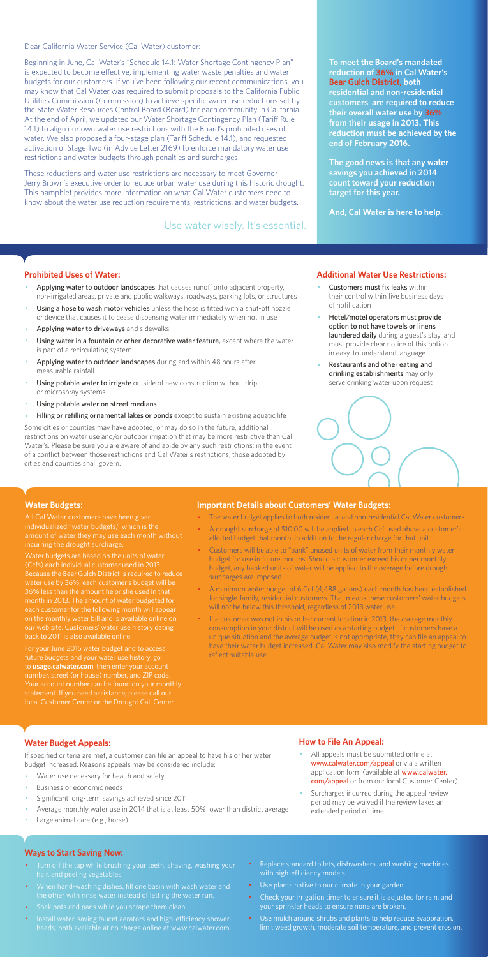Dear California Water Service (Cal Water) customer:

Beginning in June, Cal Water's "Schedule 14.1: Water Shortage Contingency Plan" is expected to become effective, implementing water waste penalties and water budgets for our customers. If you've been following our recent communications, you may know that Cal Water was required to submit proposals to the California Public Utilities Commission (Commission) to achieve specific water use reductions set by the State Water Resources Control Board (Board) for each community in California. At the end of April, we updated our Water Shortage Contingency Plan (Tariff Rule 14.1) to align our own water use restrictions with the Board's prohibited uses of water. We also proposed a four-stage plan (Tariff Schedule 14.1), and requested activation of Stage Two (in Advice Letter 2169) to enforce mandatory water use restrictions and water budgets through penalties and surcharges.

These reductions and water use restrictions are necessary to meet Governor Jerry Brown's executive order to reduce urban water use during this historic drought. This pamphlet provides more information on what Cal Water customers need to know about the water use reduction requirements, restrictions, and water budgets.

#### **Prohibited Uses of Water:**

- Applying water to outdoor landscapes that causes runoff onto adjacent property, non-irrigated areas, private and public walkways, roadways, parking lots, or structures
- Using a hose to wash motor vehicles unless the hose is fitted with a shut-off nozzle or device that causes it to cease dispensing water immediately when not in use
- Applying water to driveways and sidewalks
- Using water in a fountain or other decorative water feature, except where the water is part of a recirculating system
- Applying water to outdoor landscapes during and within 48 hours after measurable rainfall
- Using potable water to irrigate outside of new construction without drip or microspray systems
- Using potable water on street medians
- Filling or refilling ornamental lakes or ponds except to sustain existing aquatic life
- Customers must fix leaks within their control within five business days of notification
- Hotel/motel operators must provide option to not have towels or linens laundered daily during a guest's stay, and must provide clear notice of this option in easy-to-understand language
- Restaurants and other eating and drinking establishments may only serve drinking water upon request



- All appeals must be submitted online at www.calwater.com/appeal or via a written application form (available at www.calwater. com/appeal or from our local Customer Center).
- · Surcharges incurred during the appeal review period may be waived if the review takes an extended period of time.

Some cities or counties may have adopted, or may do so in the future, additional restrictions on water use and/or outdoor irrigation that may be more restrictive than Cal Water's. Please be sure you are aware of and abide by any such restrictions; in the event of a conflict between those restrictions and Cal Water's restrictions, those adopted by cities and counties shall govern.

- Turn off the tap while brushing your teeth, shaving, washing your hair, and peeling vegetables.
- · When hand-washing dishes, fill one basin with wash water and the other with rinse water instead of letting the water run.
- · Soak pots and pans while you scrape them clean.
- · Install water-saving faucet aerators and high-efficiency showerheads, both available at no charge online at www.calwater.com.
- Replace standard toilets, dishwashers, and washing machines with high-efficiency models.
- · Use plants native to our climate in your garden.
- Check your irrigation timer to ensure it is adjusted for rain, and your sprinkler heads to ensure none are broken.
- · Use mulch around shrubs and plants to help reduce evaporation, limit weed growth, moderate soil temperature, and prevent erosion.

**To meet the Board's mandated reduction of 36% in Cal Water's Bear Gulch District, both residential and non-residential customers are required to reduce their overall water use by 36% from their usage in 2013. This reduction must be achieved by the end of February 2016.** 

**The good news is that any water savings you achieved in 2014 count toward your reduction target for this year.** 

**And, Cal Water is here to help.** 

#### **Additional Water Use Restrictions:**

#### **Water Budget Appeals:**

If specified criteria are met, a customer can file an appeal to have his or her water budget increased. Reasons appeals may be considered include:

- Water use necessary for health and safety
- Business or economic needs
- Significant long-term savings achieved since 2011
- Average monthly water use in 2014 that is at least 50% lower than district average
- Large animal care (e.g., horse)

If a customer was not in his or her current location in 2013, the average monthly consumption in your district will be used as a starting budget. If customers have a unique situation and the average budget is not appropriate, they can file an appeal to have their water budget increased. Cal Water may also modify the starting budget to reflect suitable use.

#### **How to File An Appeal:**

#### **Ways to Start Saving Now:**

Use water wisely. It's essential.

#### **Water Budgets:**

individualized "water budgets," which is the incurring the drought surcharge.

Water budgets are based on the units of water (Ccfs) each individual customer used in 2013. water use by 36%, each customer's budget will be month in 2013. The amount of water budgeted for each customer for the following month will appea on the monthly water bill and is available online on

For your June 2015 water budget and to access future budgets and your water use history, go to **usage.calwater.com**, then enter your account number, street (or house) number, and ZIP code. local Customer Center or the Drought Call Center.

#### **Important Details about Customers' Water Budgets:**

- · The water budget applies to both residential and non-residential Cal Water customers.
- · A drought surcharge of \$10.00 will be applied to each Ccf used above a customer's allotted budget that month, in addition to the regular charge for that unit.
- · Customers will be able to "bank" unused units of water from their monthly water budget for use in future months. Should a customer exceed his or her monthly budget, any banked units of water will be applied to the overage before drought surcharges are imposed.
- · A minimum water budget of 6 Ccf (4,488 gallons) each month has been established for single-family, residential customers. That means these customers' water budgets will not be below this threshold, regardless of 2013 water use.